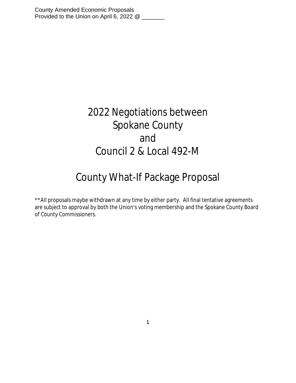County Amended Economic Proposals Provided to the Union on April 6, 2022 @ \_\_\_\_\_\_

## 2022 Negotiations between Spokane County and Council 2 & Local 492-M

## County What-If Package Proposal

\*\*All proposals maybe withdrawn at any time by either party. All final tentative agreements are subject to approval by both the Union's voting membership and the Spokane County Board of County Commissioners.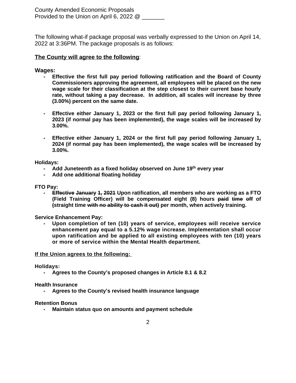County Amended Economic Proposals Provided to the Union on April 6, 2022 @

The following what-if package proposal was verbally expressed to the Union on April 14, 2022 at 3:36PM. The package proposals is as follows:

## **The County will agree to the following**:

## **Wages:**

- **- Effective the first full pay period following ratification and the Board of County Commissioners approving the agreement, all employees will be placed on the new wage scale for their classification at the step closest to their current base hourly rate, without taking a pay decrease. In addition, all scales will increase by three (3.00%) percent on the same date.**
- **- Effective either January 1, 2023 or the first full pay period following January 1, 2023 (if normal pay has been implemented), the wage scales will be increased by 3.00%.**
- **- Effective either January 1, 2024 or the first full pay period following January 1, 2024 (if normal pay has been implemented), the wage scales will be increased by 3.00%.**

**Holidays:**

- **- Add Juneteenth as a fixed holiday observed on June 19th every year**
- **- Add one additional floating holiday**

**FTO Pay:**

**- Effective January 1, 2021 Upon ratification, all members who are working as a FTO (Field Training Officer) will be compensated eight (8) hours paid time off of (straight time with no ability to cash it out) per month, when actively training.**

**Service Enhancement Pay:**

**- Upon completion of ten (10) years of service, employees will receive service enhancement pay equal to a 5.12% wage increase. Implementation shall occur upon ratification and be applied to all existing employees with ten (10) years or more of service within the Mental Health department.**

**If the Union agrees to the following:**

**Holidays:**

**- Agrees to the County's proposed changes in Article 8.1 & 8.2**

**Health Insurance**

**- Agrees to the County's revised health insurance language**

**Retention Bonus**

**- Maintain status quo on amounts and payment schedule**